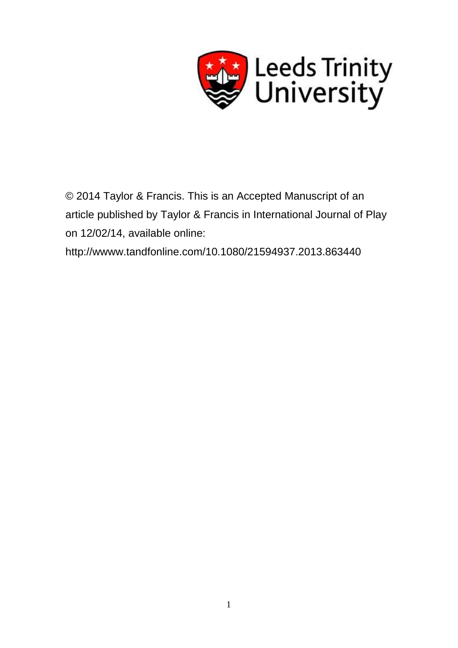

© 2014 Taylor & Francis. This is an Accepted Manuscript of an article published by Taylor & Francis in International Journal of Play on 12/02/14, available online:

http://wwww.tandfonline.com/10.1080/21594937.2013.863440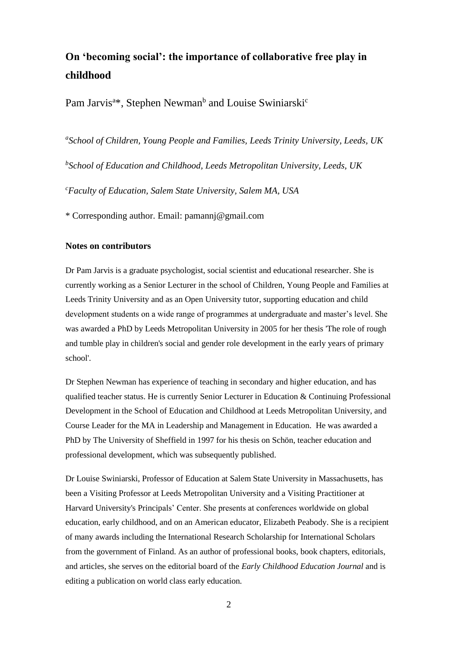# **On 'becoming social': the importance of collaborative free play in childhood**

Pam Jarvis<sup>a\*</sup>, Stephen Newman<sup>b</sup> and Louise Swiniarski<sup>c</sup>

*a School of Children, Young People and Families, Leeds Trinity University, Leeds, UK b School of Education and Childhood, Leeds Metropolitan University, Leeds, UK <sup>c</sup>Faculty of Education, Salem State University, Salem MA, USA* 

\* Corresponding author. Email: pamannj@gmail.com

## **Notes on contributors**

Dr Pam Jarvis is a graduate psychologist, social scientist and educational researcher. She is currently working as a Senior Lecturer in the school of Children, Young People and Families at Leeds Trinity University and as an Open University tutor, supporting education and child development students on a wide range of programmes at undergraduate and master's level. She was awarded a PhD by Leeds Metropolitan University in 2005 for her thesis 'The role of rough and tumble play in children's social and gender role development in the early years of primary school'.

Dr Stephen Newman has experience of teaching in secondary and higher education, and has qualified teacher status. He is currently Senior Lecturer in Education & Continuing Professional Development in the School of Education and Childhood at Leeds Metropolitan University, and Course Leader for the MA in Leadership and Management in Education. He was awarded a PhD by The University of Sheffield in 1997 for his thesis on Schön, teacher education and professional development, which was subsequently published.

Dr Louise Swiniarski, Professor of Education at Salem State University in Massachusetts, has been a Visiting Professor at Leeds Metropolitan University and a Visiting Practitioner at Harvard University's Principals' Center. She presents at conferences worldwide on global education, early childhood, and on an American educator, Elizabeth Peabody. She is a recipient of many awards including the International Research Scholarship for International Scholars from the government of Finland. As an author of professional books, book chapters, editorials, and articles, she serves on the editorial board of the *Early Childhood Education Journal* and is editing a publication on world class early education*.*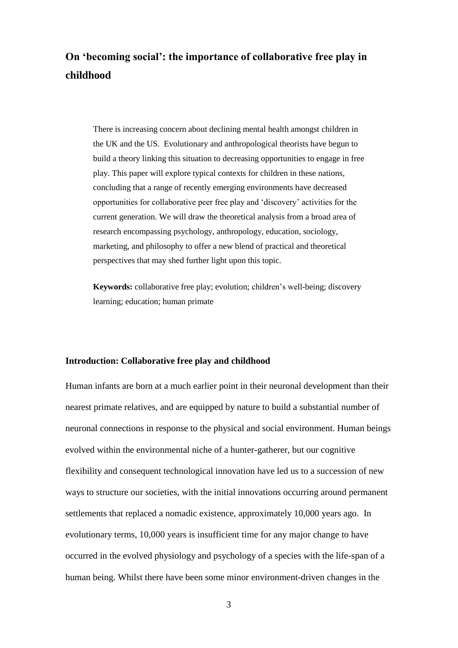# **On 'becoming social': the importance of collaborative free play in childhood**

There is increasing concern about declining mental health amongst children in the UK and the US. Evolutionary and anthropological theorists have begun to build a theory linking this situation to decreasing opportunities to engage in free play. This paper will explore typical contexts for children in these nations, concluding that a range of recently emerging environments have decreased opportunities for collaborative peer free play and 'discovery' activities for the current generation. We will draw the theoretical analysis from a broad area of research encompassing psychology, anthropology, education, sociology, marketing, and philosophy to offer a new blend of practical and theoretical perspectives that may shed further light upon this topic.

**Keywords:** collaborative free play; evolution; children's well-being; discovery learning; education; human primate

### **Introduction: Collaborative free play and childhood**

Human infants are born at a much earlier point in their neuronal development than their nearest primate relatives, and are equipped by nature to build a substantial number of neuronal connections in response to the physical and social environment. Human beings evolved within the environmental niche of a hunter-gatherer, but our cognitive flexibility and consequent technological innovation have led us to a succession of new ways to structure our societies, with the initial innovations occurring around permanent settlements that replaced a nomadic existence, approximately 10,000 years ago. In evolutionary terms, 10,000 years is insufficient time for any major change to have occurred in the evolved physiology and psychology of a species with the life-span of a human being. Whilst there have been some minor environment-driven changes in the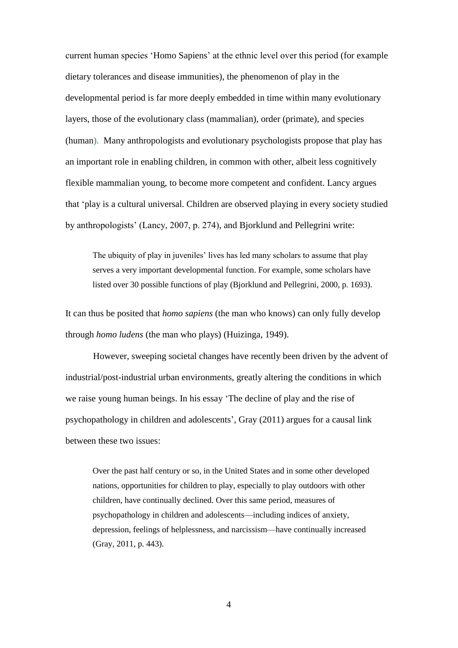current human species 'Homo Sapiens' at the ethnic level over this period (for example dietary tolerances and disease immunities), the phenomenon of play in the developmental period is far more deeply embedded in time within many evolutionary layers, those of the evolutionary class (mammalian), order (primate), and species (human). Many anthropologists and evolutionary psychologists propose that play has an important role in enabling children, in common with other, albeit less cognitively flexible mammalian young, to become more competent and confident. Lancy argues that 'play is a cultural universal. Children are observed playing in every society studied by anthropologists' (Lancy, 2007, p. 274), and Bjorklund and Pellegrini write:

The ubiquity of play in juveniles' lives has led many scholars to assume that play serves a very important developmental function. For example, some scholars have listed over 30 possible functions of play (Bjorklund and Pellegrini, 2000, p. 1693).

It can thus be posited that *homo sapiens* (the man who knows) can only fully develop through *homo ludens* (the man who plays) (Huizinga, 1949).

However, sweeping societal changes have recently been driven by the advent of industrial/post-industrial urban environments, greatly altering the conditions in which we raise young human beings. In his essay 'The decline of play and the rise of psychopathology in children and adolescents', Gray (2011) argues for a causal link between these two issues:

Over the past half century or so, in the United States and in some other developed nations, opportunities for children to play, especially to play outdoors with other children, have continually declined. Over this same period, measures of psychopathology in children and adolescents—including indices of anxiety, depression, feelings of helplessness, and narcissism—have continually increased (Gray, 2011, p. 443).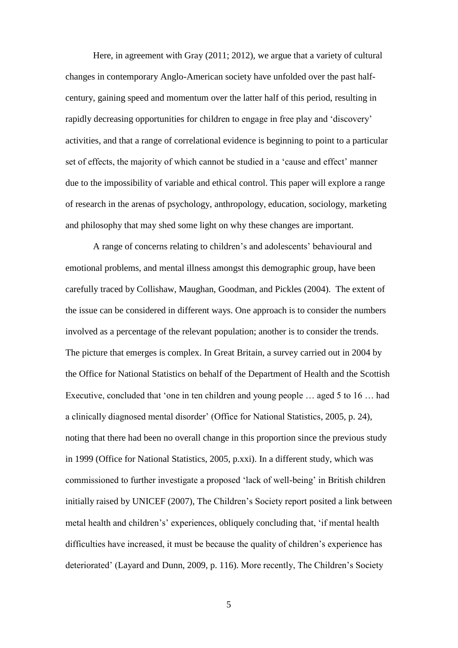Here, in agreement with Gray (2011; 2012), we argue that a variety of cultural changes in contemporary Anglo-American society have unfolded over the past halfcentury, gaining speed and momentum over the latter half of this period, resulting in rapidly decreasing opportunities for children to engage in free play and 'discovery' activities, and that a range of correlational evidence is beginning to point to a particular set of effects, the majority of which cannot be studied in a 'cause and effect' manner due to the impossibility of variable and ethical control. This paper will explore a range of research in the arenas of psychology, anthropology, education, sociology, marketing and philosophy that may shed some light on why these changes are important.

A range of concerns relating to children's and adolescents' behavioural and emotional problems, and mental illness amongst this demographic group, have been carefully traced by Collishaw, Maughan, Goodman, and Pickles (2004). The extent of the issue can be considered in different ways. One approach is to consider the numbers involved as a percentage of the relevant population; another is to consider the trends. The picture that emerges is complex. In Great Britain, a survey carried out in 2004 by the Office for National Statistics on behalf of the Department of Health and the Scottish Executive, concluded that 'one in ten children and young people … aged 5 to 16 … had a clinically diagnosed mental disorder' (Office for National Statistics, 2005, p. 24), noting that there had been no overall change in this proportion since the previous study in 1999 (Office for National Statistics, 2005, p.xxi). In a different study, which was commissioned to further investigate a proposed 'lack of well-being' in British children initially raised by UNICEF (2007), The Children's Society report posited a link between metal health and children's' experiences, obliquely concluding that, 'if mental health difficulties have increased, it must be because the quality of children's experience has deteriorated' (Layard and Dunn, 2009, p. 116). More recently, The Children's Society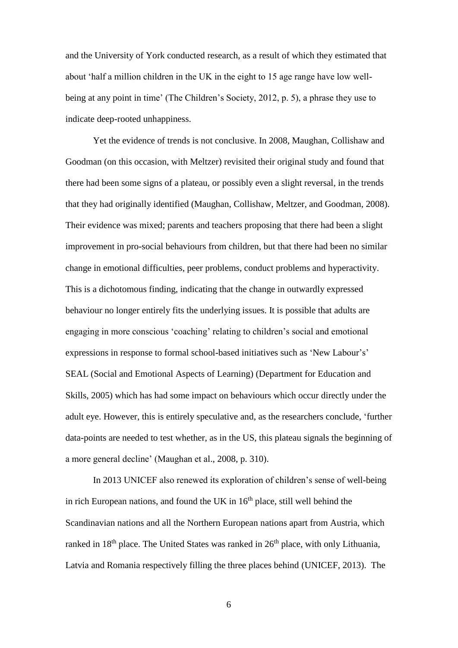and the University of York conducted research, as a result of which they estimated that about 'half a million children in the UK in the eight to 15 age range have low wellbeing at any point in time' (The Children's Society, 2012, p. 5), a phrase they use to indicate deep-rooted unhappiness.

Yet the evidence of trends is not conclusive. In 2008, Maughan, Collishaw and Goodman (on this occasion, with Meltzer) revisited their original study and found that there had been some signs of a plateau, or possibly even a slight reversal, in the trends that they had originally identified (Maughan, Collishaw, Meltzer, and Goodman, 2008). Their evidence was mixed; parents and teachers proposing that there had been a slight improvement in pro-social behaviours from children, but that there had been no similar change in emotional difficulties, peer problems, conduct problems and hyperactivity. This is a dichotomous finding, indicating that the change in outwardly expressed behaviour no longer entirely fits the underlying issues. It is possible that adults are engaging in more conscious 'coaching' relating to children's social and emotional expressions in response to formal school-based initiatives such as 'New Labour's' SEAL (Social and Emotional Aspects of Learning) (Department for Education and Skills, 2005) which has had some impact on behaviours which occur directly under the adult eye. However, this is entirely speculative and, as the researchers conclude, 'further data-points are needed to test whether, as in the US, this plateau signals the beginning of a more general decline' (Maughan et al., 2008, p. 310).

In 2013 UNICEF also renewed its exploration of children's sense of well-being in rich European nations, and found the UK in  $16<sup>th</sup>$  place, still well behind the Scandinavian nations and all the Northern European nations apart from Austria, which ranked in 18<sup>th</sup> place. The United States was ranked in 26<sup>th</sup> place, with only Lithuania, Latvia and Romania respectively filling the three places behind (UNICEF, 2013). The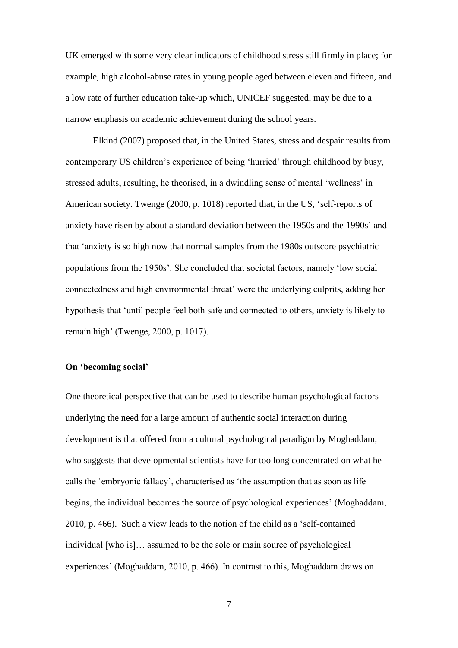UK emerged with some very clear indicators of childhood stress still firmly in place; for example, high alcohol-abuse rates in young people aged between eleven and fifteen, and a low rate of further education take-up which, UNICEF suggested, may be due to a narrow emphasis on academic achievement during the school years.

Elkind (2007) proposed that, in the United States, stress and despair results from contemporary US children's experience of being 'hurried' through childhood by busy, stressed adults, resulting, he theorised, in a dwindling sense of mental 'wellness' in American society. Twenge (2000, p. 1018) reported that, in the US, 'self-reports of anxiety have risen by about a standard deviation between the 1950s and the 1990s' and that 'anxiety is so high now that normal samples from the 1980s outscore psychiatric populations from the 1950s'. She concluded that societal factors, namely 'low social connectedness and high environmental threat' were the underlying culprits, adding her hypothesis that 'until people feel both safe and connected to others, anxiety is likely to remain high' (Twenge, 2000, p. 1017).

#### **On 'becoming social'**

One theoretical perspective that can be used to describe human psychological factors underlying the need for a large amount of authentic social interaction during development is that offered from a cultural psychological paradigm by Moghaddam, who suggests that developmental scientists have for too long concentrated on what he calls the 'embryonic fallacy', characterised as 'the assumption that as soon as life begins, the individual becomes the source of psychological experiences' (Moghaddam, 2010, p. 466). Such a view leads to the notion of the child as a 'self-contained individual [who is]… assumed to be the sole or main source of psychological experiences' (Moghaddam, 2010, p. 466). In contrast to this, Moghaddam draws on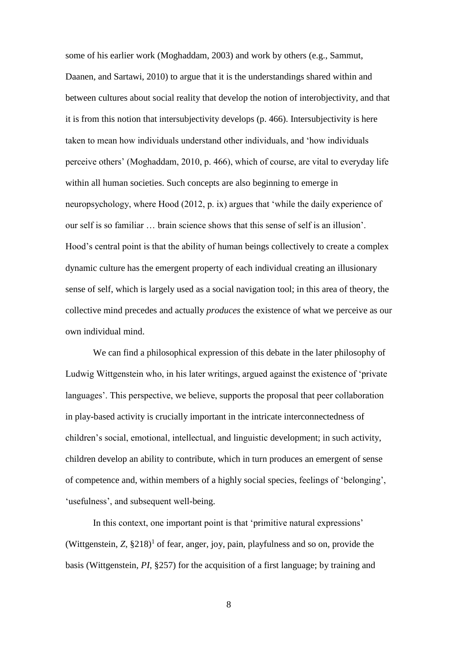some of his earlier work (Moghaddam, 2003) and work by others (e.g., Sammut, Daanen, and Sartawi, 2010) to argue that it is the understandings shared within and between cultures about social reality that develop the notion of interobjectivity, and that it is from this notion that intersubjectivity develops (p. 466). Intersubjectivity is here taken to mean how individuals understand other individuals, and 'how individuals perceive others' (Moghaddam, 2010, p. 466), which of course, are vital to everyday life within all human societies. Such concepts are also beginning to emerge in neuropsychology, where Hood (2012, p. ix) argues that 'while the daily experience of our self is so familiar … brain science shows that this sense of self is an illusion'. Hood's central point is that the ability of human beings collectively to create a complex dynamic culture has the emergent property of each individual creating an illusionary sense of self, which is largely used as a social navigation tool; in this area of theory, the collective mind precedes and actually *produces* the existence of what we perceive as our own individual mind.

We can find a philosophical expression of this debate in the later philosophy of Ludwig Wittgenstein who, in his later writings, argued against the existence of 'private languages'. This perspective, we believe, supports the proposal that peer collaboration in play-based activity is crucially important in the intricate interconnectedness of children's social, emotional, intellectual, and linguistic development; in such activity, children develop an ability to contribute, which in turn produces an emergent of sense of competence and, within members of a highly social species, feelings of 'belonging', 'usefulness', and subsequent well-being.

In this context, one important point is that 'primitive natural expressions' (Wittgenstein,  $Z$ ,  $\S218$ )<sup>1</sup> of fear, anger, joy, pain, playfulness and so on, provide the basis (Wittgenstein, *PI*, §257) for the acquisition of a first language; by training and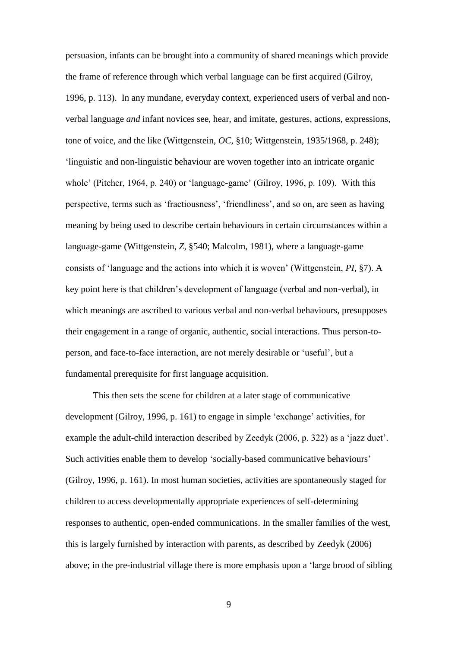persuasion, infants can be brought into a community of shared meanings which provide the frame of reference through which verbal language can be first acquired (Gilroy, 1996, p. 113). In any mundane, everyday context, experienced users of verbal and nonverbal language *and* infant novices see, hear, and imitate, gestures, actions, expressions, tone of voice, and the like (Wittgenstein, *OC*, §10; Wittgenstein, 1935/1968, p. 248); 'linguistic and non-linguistic behaviour are woven together into an intricate organic whole' (Pitcher, 1964, p. 240) or 'language-game' (Gilroy, 1996, p. 109). With this perspective, terms such as 'fractiousness', 'friendliness', and so on, are seen as having meaning by being used to describe certain behaviours in certain circumstances within a language-game (Wittgenstein, *Z*, §540; Malcolm, 1981), where a language-game consists of 'language and the actions into which it is woven' (Wittgenstein, *PI*, §7). A key point here is that children's development of language (verbal and non-verbal), in which meanings are ascribed to various verbal and non-verbal behaviours, presupposes their engagement in a range of organic, authentic, social interactions. Thus person-toperson, and face-to-face interaction, are not merely desirable or 'useful', but a fundamental prerequisite for first language acquisition.

This then sets the scene for children at a later stage of communicative development (Gilroy, 1996, p. 161) to engage in simple 'exchange' activities, for example the adult-child interaction described by Zeedyk (2006, p. 322) as a 'jazz duet'. Such activities enable them to develop 'socially-based communicative behaviours' (Gilroy, 1996, p. 161). In most human societies, activities are spontaneously staged for children to access developmentally appropriate experiences of self-determining responses to authentic, open-ended communications. In the smaller families of the west, this is largely furnished by interaction with parents, as described by Zeedyk (2006) above; in the pre-industrial village there is more emphasis upon a 'large brood of sibling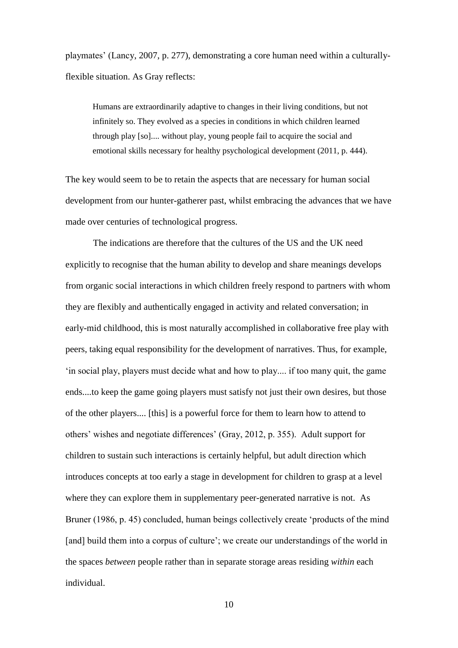playmates' (Lancy, 2007, p. 277), demonstrating a core human need within a culturallyflexible situation. As Gray reflects:

Humans are extraordinarily adaptive to changes in their living conditions, but not infinitely so. They evolved as a species in conditions in which children learned through play [so].... without play, young people fail to acquire the social and emotional skills necessary for healthy psychological development (2011, p. 444).

The key would seem to be to retain the aspects that are necessary for human social development from our hunter-gatherer past, whilst embracing the advances that we have made over centuries of technological progress.

The indications are therefore that the cultures of the US and the UK need explicitly to recognise that the human ability to develop and share meanings develops from organic social interactions in which children freely respond to partners with whom they are flexibly and authentically engaged in activity and related conversation; in early-mid childhood, this is most naturally accomplished in collaborative free play with peers, taking equal responsibility for the development of narratives. Thus, for example, 'in social play, players must decide what and how to play.... if too many quit, the game ends....to keep the game going players must satisfy not just their own desires, but those of the other players.... [this] is a powerful force for them to learn how to attend to others' wishes and negotiate differences' (Gray, 2012, p. 355). Adult support for children to sustain such interactions is certainly helpful, but adult direction which introduces concepts at too early a stage in development for children to grasp at a level where they can explore them in supplementary peer-generated narrative is not. As Bruner (1986, p. 45) concluded, human beings collectively create 'products of the mind [and] build them into a corpus of culture'; we create our understandings of the world in the spaces *between* people rather than in separate storage areas residing *within* each individual.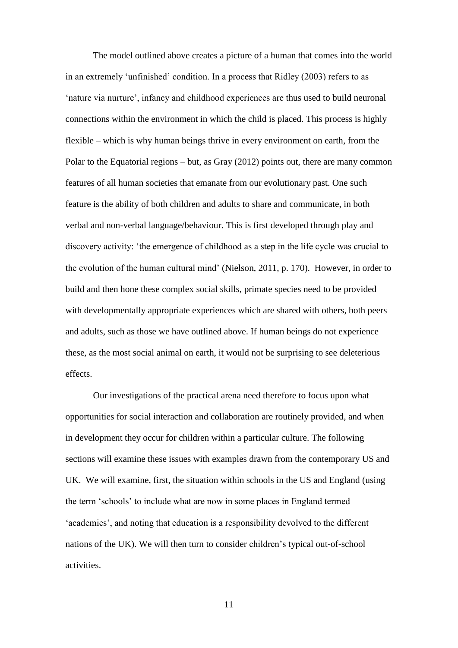The model outlined above creates a picture of a human that comes into the world in an extremely 'unfinished' condition. In a process that Ridley (2003) refers to as 'nature via nurture', infancy and childhood experiences are thus used to build neuronal connections within the environment in which the child is placed. This process is highly flexible – which is why human beings thrive in every environment on earth, from the Polar to the Equatorial regions – but, as Gray (2012) points out, there are many common features of all human societies that emanate from our evolutionary past. One such feature is the ability of both children and adults to share and communicate, in both verbal and non-verbal language/behaviour. This is first developed through play and discovery activity: 'the emergence of childhood as a step in the life cycle was crucial to the evolution of the human cultural mind' (Nielson, 2011, p. 170). However, in order to build and then hone these complex social skills, primate species need to be provided with developmentally appropriate experiences which are shared with others, both peers and adults, such as those we have outlined above. If human beings do not experience these, as the most social animal on earth, it would not be surprising to see deleterious effects.

Our investigations of the practical arena need therefore to focus upon what opportunities for social interaction and collaboration are routinely provided, and when in development they occur for children within a particular culture. The following sections will examine these issues with examples drawn from the contemporary US and UK. We will examine, first, the situation within schools in the US and England (using the term 'schools' to include what are now in some places in England termed 'academies', and noting that education is a responsibility devolved to the different nations of the UK). We will then turn to consider children's typical out-of-school activities.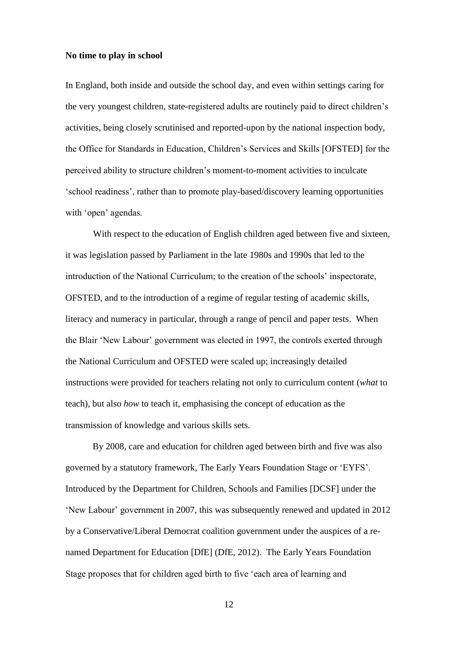### **No time to play in school**

In England, both inside and outside the school day, and even within settings caring for the very youngest children, state-registered adults are routinely paid to direct children's activities, being closely scrutinised and reported-upon by the national inspection body, the Office for Standards in Education, Children's Services and Skills [OFSTED] for the perceived ability to structure children's moment-to-moment activities to inculcate 'school readiness', rather than to promote play-based/discovery learning opportunities with 'open' agendas.

With respect to the education of English children aged between five and sixteen, it was legislation passed by Parliament in the late 1980s and 1990s that led to the introduction of the National Curriculum; to the creation of the schools' inspectorate, OFSTED, and to the introduction of a regime of regular testing of academic skills, literacy and numeracy in particular, through a range of pencil and paper tests. When the Blair 'New Labour' government was elected in 1997, the controls exerted through the National Curriculum and OFSTED were scaled up; increasingly detailed instructions were provided for teachers relating not only to curriculum content (*what* to teach), but also *how* to teach it, emphasising the concept of education as the transmission of knowledge and various skills sets.

By 2008, care and education for children aged between birth and five was also governed by a statutory framework, The Early Years Foundation Stage or 'EYFS'. Introduced by the Department for Children, Schools and Families [DCSF] under the 'New Labour' government in 2007, this was subsequently renewed and updated in 2012 by a Conservative/Liberal Democrat coalition government under the auspices of a renamed Department for Education [DfE] (DfE, 2012). The Early Years Foundation Stage proposes that for children aged birth to five 'each area of learning and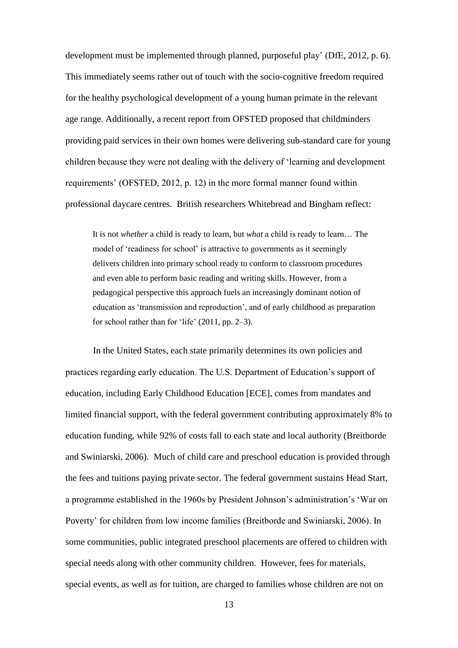development must be implemented through planned, purposeful play' (DfE, 2012, p. 6). This immediately seems rather out of touch with the socio-cognitive freedom required for the healthy psychological development of a young human primate in the relevant age range. Additionally, a recent report from OFSTED proposed that childminders providing paid services in their own homes were delivering sub-standard care for young children because they were not dealing with the delivery of 'learning and development requirements' (OFSTED, 2012, p. 12) in the more formal manner found within professional daycare centres. British researchers Whitebread and Bingham reflect:

It is not *whether* a child is ready to learn, but *what* a child is ready to learn… The model of 'readiness for school' is attractive to governments as it seemingly delivers children into primary school ready to conform to classroom procedures and even able to perform basic reading and writing skills. However, from a pedagogical perspective this approach fuels an increasingly dominant notion of education as 'transmission and reproduction', and of early childhood as preparation for school rather than for 'life' (2011, pp. 2–3).

In the United States, each state primarily determines its own policies and practices regarding early education. The U.S. Department of Education's support of education, including Early Childhood Education [ECE], comes from mandates and limited financial support, with the federal government contributing approximately 8% to education funding, while 92% of costs fall to each state and local authority (Breitborde and Swiniarski, 2006). Much of child care and preschool education is provided through the fees and tuitions paying private sector. The federal government sustains Head Start, a programme established in the 1960s by President Johnson's administration's 'War on Poverty' for children from low income families (Breitborde and Swiniarski, 2006). In some communities, public integrated preschool placements are offered to children with special needs along with other community children. However, fees for materials, special events, as well as for tuition, are charged to families whose children are not on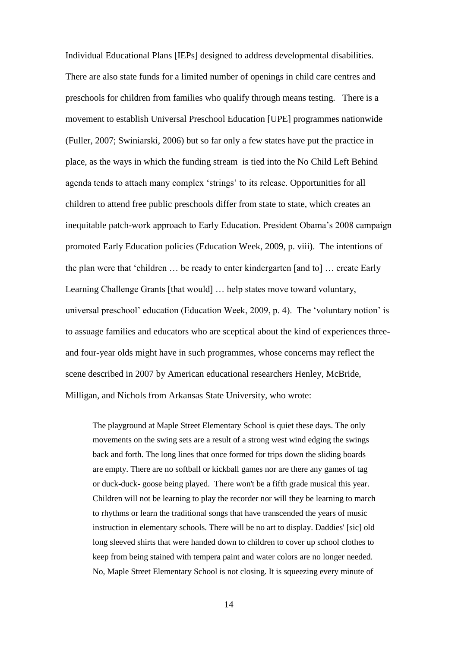Individual Educational Plans [IEPs] designed to address developmental disabilities. There are also state funds for a limited number of openings in child care centres and preschools for children from families who qualify through means testing. There is a movement to establish Universal Preschool Education [UPE] programmes nationwide (Fuller, 2007; Swiniarski, 2006) but so far only a few states have put the practice in place, as the ways in which the funding stream is tied into the No Child Left Behind agenda tends to attach many complex 'strings' to its release. Opportunities for all children to attend free public preschools differ from state to state, which creates an inequitable patch-work approach to Early Education. President Obama's 2008 campaign promoted Early Education policies (Education Week, 2009, p. viii). The intentions of the plan were that 'children … be ready to enter kindergarten [and to] … create Early Learning Challenge Grants [that would] ... help states move toward voluntary, universal preschool' education (Education Week, 2009, p. 4). The 'voluntary notion' is to assuage families and educators who are sceptical about the kind of experiences threeand four-year olds might have in such programmes, whose concerns may reflect the scene described in 2007 by American educational researchers Henley, McBride, Milligan, and Nichols from Arkansas State University, who wrote:

The playground at Maple Street Elementary School is quiet these days. The only movements on the swing sets are a result of a strong west wind edging the swings back and forth. The long lines that once formed for trips down the sliding boards are empty. There are no softball or kickball games nor are there any games of tag or duck-duck- goose being played. There won't be a fifth grade musical this year. Children will not be learning to play the recorder nor will they be learning to march to rhythms or learn the traditional songs that have transcended the years of music instruction in elementary schools. There will be no art to display. Daddies' [sic] old long sleeved shirts that were handed down to children to cover up school clothes to keep from being stained with tempera paint and water colors are no longer needed. No, Maple Street Elementary School is not closing. It is squeezing every minute of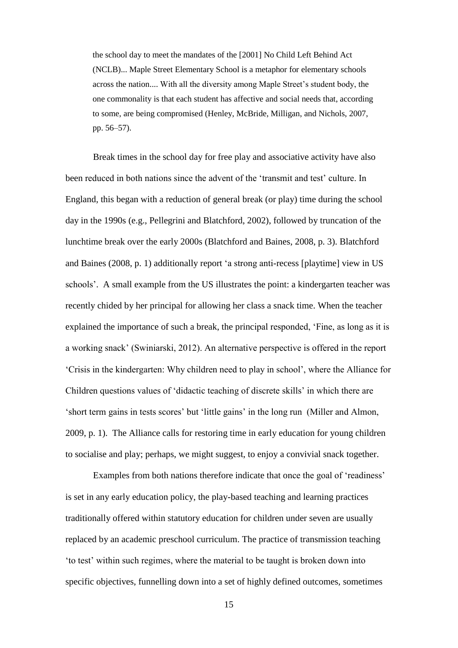the school day to meet the mandates of the [2001] No Child Left Behind Act (NCLB)... Maple Street Elementary School is a metaphor for elementary schools across the nation.... With all the diversity among Maple Street's student body, the one commonality is that each student has affective and social needs that, according to some, are being compromised (Henley, McBride, Milligan, and Nichols, 2007, pp. 56–57).

Break times in the school day for free play and associative activity have also been reduced in both nations since the advent of the 'transmit and test' culture. In England, this began with a reduction of general break (or play) time during the school day in the 1990s (e.g., Pellegrini and Blatchford, 2002), followed by truncation of the lunchtime break over the early 2000s (Blatchford and Baines, 2008, p. 3). Blatchford and Baines (2008, p. 1) additionally report 'a strong anti-recess [playtime] view in US schools'. A small example from the US illustrates the point: a kindergarten teacher was recently chided by her principal for allowing her class a snack time. When the teacher explained the importance of such a break, the principal responded, 'Fine, as long as it is a working snack' (Swiniarski, 2012). An alternative perspective is offered in the report 'Crisis in the kindergarten: Why children need to play in school', where the Alliance for Children questions values of 'didactic teaching of discrete skills' in which there are 'short term gains in tests scores' but 'little gains' in the long run (Miller and Almon, 2009, p. 1). The Alliance calls for restoring time in early education for young children to socialise and play; perhaps, we might suggest, to enjoy a convivial snack together.

Examples from both nations therefore indicate that once the goal of 'readiness' is set in any early education policy, the play-based teaching and learning practices traditionally offered within statutory education for children under seven are usually replaced by an academic preschool curriculum. The practice of transmission teaching 'to test' within such regimes, where the material to be taught is broken down into specific objectives, funnelling down into a set of highly defined outcomes, sometimes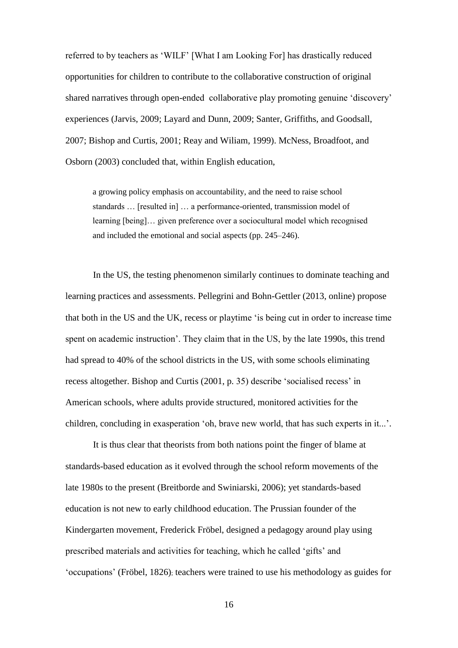referred to by teachers as 'WILF' [What I am Looking For] has drastically reduced opportunities for children to contribute to the collaborative construction of original shared narratives through open-ended collaborative play promoting genuine 'discovery' experiences (Jarvis, 2009; Layard and Dunn, 2009; Santer, Griffiths, and Goodsall, 2007; Bishop and Curtis, 2001; Reay and Wiliam, 1999). McNess, Broadfoot, and Osborn (2003) concluded that, within English education,

a growing policy emphasis on accountability, and the need to raise school standards … [resulted in] … a performance-oriented, transmission model of learning [being]… given preference over a sociocultural model which recognised and included the emotional and social aspects (pp. 245–246).

In the US, the testing phenomenon similarly continues to dominate teaching and learning practices and assessments. Pellegrini and Bohn-Gettler (2013, online) propose that both in the US and the UK, recess or playtime 'is being cut in order to increase time spent on academic instruction'. They claim that in the US, by the late 1990s, this trend had spread to 40% of the school districts in the US, with some schools eliminating recess altogether. Bishop and Curtis (2001, p. 35) describe 'socialised recess' in American schools, where adults provide structured, monitored activities for the children, concluding in exasperation 'oh, brave new world, that has such experts in it...'.

It is thus clear that theorists from both nations point the finger of blame at standards-based education as it evolved through the school reform movements of the late 1980s to the present (Breitborde and Swiniarski, 2006); yet standards-based education is not new to early childhood education. The Prussian founder of the Kindergarten movement, Frederick Fröbel, designed a pedagogy around play using prescribed materials and activities for teaching, which he called 'gifts' and 'occupations' (Fröbel, 1826); teachers were trained to use his methodology as guides for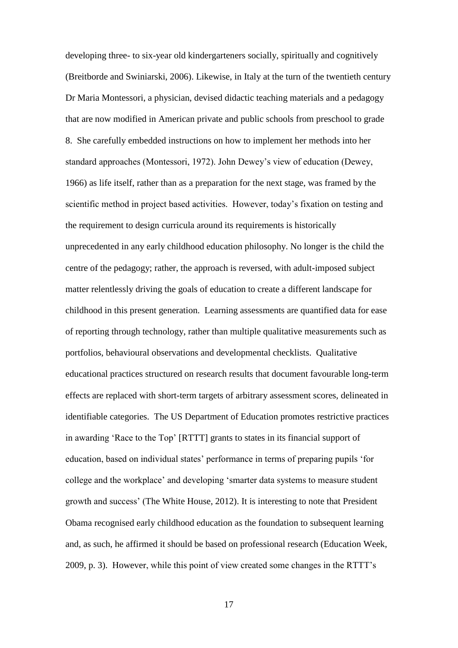developing three- to six-year old kindergarteners socially, spiritually and cognitively (Breitborde and Swiniarski, 2006). Likewise, in Italy at the turn of the twentieth century Dr Maria Montessori, a physician, devised didactic teaching materials and a pedagogy that are now modified in American private and public schools from preschool to grade 8. She carefully embedded instructions on how to implement her methods into her standard approaches (Montessori, 1972). John Dewey's view of education (Dewey, 1966) as life itself, rather than as a preparation for the next stage, was framed by the scientific method in project based activities. However, today's fixation on testing and the requirement to design curricula around its requirements is historically unprecedented in any early childhood education philosophy. No longer is the child the centre of the pedagogy; rather, the approach is reversed, with adult-imposed subject matter relentlessly driving the goals of education to create a different landscape for childhood in this present generation. Learning assessments are quantified data for ease of reporting through technology, rather than multiple qualitative measurements such as portfolios, behavioural observations and developmental checklists. Qualitative educational practices structured on research results that document favourable long-term effects are replaced with short-term targets of arbitrary assessment scores, delineated in identifiable categories. The US Department of Education promotes restrictive practices in awarding 'Race to the Top' [RTTT] grants to states in its financial support of education, based on individual states' performance in terms of preparing pupils 'for college and the workplace' and developing 'smarter data systems to measure student growth and success' (The White House, 2012). It is interesting to note that President Obama recognised early childhood education as the foundation to subsequent learning and, as such, he affirmed it should be based on professional research (Education Week, 2009, p. 3). However, while this point of view created some changes in the RTTT's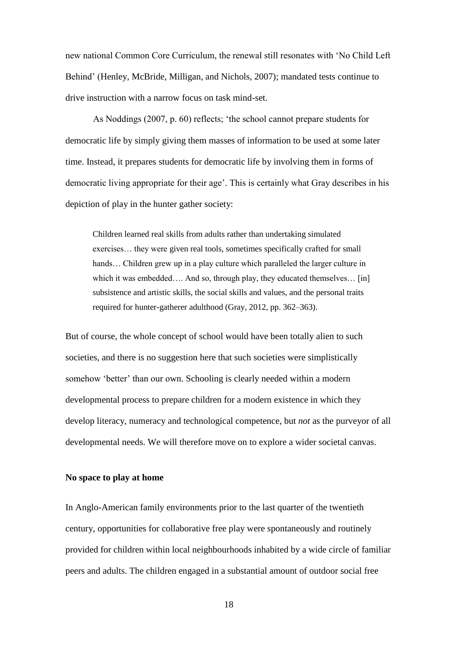new national Common Core Curriculum, the renewal still resonates with 'No Child Left Behind' (Henley, McBride, Milligan, and Nichols, 2007); mandated tests continue to drive instruction with a narrow focus on task mind-set.

As Noddings (2007, p. 60) reflects; 'the school cannot prepare students for democratic life by simply giving them masses of information to be used at some later time. Instead, it prepares students for democratic life by involving them in forms of democratic living appropriate for their age'. This is certainly what Gray describes in his depiction of play in the hunter gather society:

Children learned real skills from adults rather than undertaking simulated exercises… they were given real tools, sometimes specifically crafted for small hands... Children grew up in a play culture which paralleled the larger culture in which it was embedded…. And so, through play, they educated themselves... [in] subsistence and artistic skills, the social skills and values, and the personal traits required for hunter-gatherer adulthood (Gray, 2012, pp. 362–363).

But of course, the whole concept of school would have been totally alien to such societies, and there is no suggestion here that such societies were simplistically somehow 'better' than our own. Schooling is clearly needed within a modern developmental process to prepare children for a modern existence in which they develop literacy, numeracy and technological competence, but *not* as the purveyor of all developmental needs. We will therefore move on to explore a wider societal canvas.

#### **No space to play at home**

In Anglo-American family environments prior to the last quarter of the twentieth century, opportunities for collaborative free play were spontaneously and routinely provided for children within local neighbourhoods inhabited by a wide circle of familiar peers and adults. The children engaged in a substantial amount of outdoor social free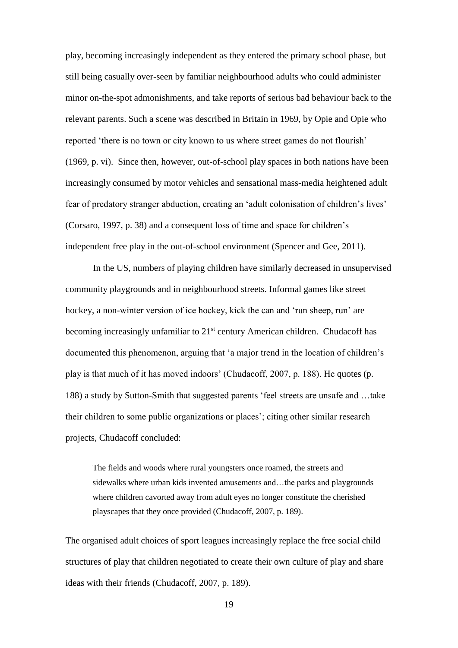play, becoming increasingly independent as they entered the primary school phase, but still being casually over-seen by familiar neighbourhood adults who could administer minor on-the-spot admonishments, and take reports of serious bad behaviour back to the relevant parents. Such a scene was described in Britain in 1969, by Opie and Opie who reported 'there is no town or city known to us where street games do not flourish' (1969, p. vi). Since then, however, out-of-school play spaces in both nations have been increasingly consumed by motor vehicles and sensational mass-media heightened adult fear of predatory stranger abduction, creating an 'adult colonisation of children's lives' (Corsaro, 1997, p. 38) and a consequent loss of time and space for children's independent free play in the out-of-school environment (Spencer and Gee, 2011).

In the US, numbers of playing children have similarly decreased in unsupervised community playgrounds and in neighbourhood streets. Informal games like street hockey, a non-winter version of ice hockey, kick the can and 'run sheep, run' are becoming increasingly unfamiliar to 21<sup>st</sup> century American children. Chudacoff has documented this phenomenon, arguing that 'a major trend in the location of children's play is that much of it has moved indoors' (Chudacoff, 2007, p. 188). He quotes (p. 188) a study by Sutton-Smith that suggested parents 'feel streets are unsafe and …take their children to some public organizations or places'; citing other similar research projects, Chudacoff concluded:

The fields and woods where rural youngsters once roamed, the streets and sidewalks where urban kids invented amusements and…the parks and playgrounds where children cavorted away from adult eyes no longer constitute the cherished playscapes that they once provided (Chudacoff, 2007, p. 189).

The organised adult choices of sport leagues increasingly replace the free social child structures of play that children negotiated to create their own culture of play and share ideas with their friends (Chudacoff, 2007, p. 189).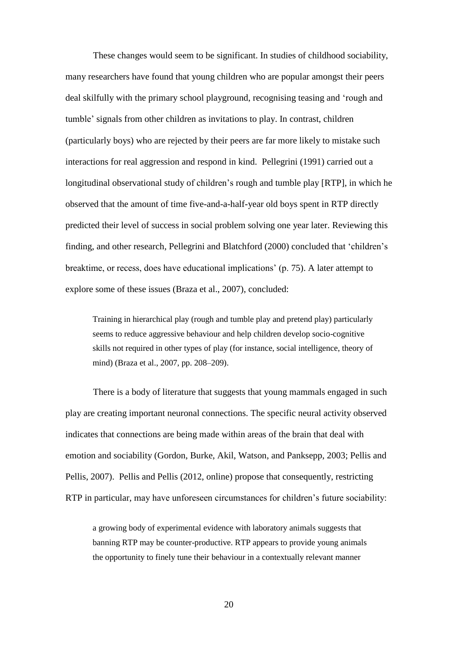These changes would seem to be significant. In studies of childhood sociability, many researchers have found that young children who are popular amongst their peers deal skilfully with the primary school playground, recognising teasing and 'rough and tumble' signals from other children as invitations to play. In contrast, children (particularly boys) who are rejected by their peers are far more likely to mistake such interactions for real aggression and respond in kind. Pellegrini (1991) carried out a longitudinal observational study of children's rough and tumble play [RTP], in which he observed that the amount of time five-and-a-half-year old boys spent in RTP directly predicted their level of success in social problem solving one year later. Reviewing this finding, and other research, Pellegrini and Blatchford (2000) concluded that 'children's breaktime, or recess, does have educational implications' (p. 75). A later attempt to explore some of these issues (Braza et al., 2007), concluded:

Training in hierarchical play (rough and tumble play and pretend play) particularly seems to reduce aggressive behaviour and help children develop socio-cognitive skills not required in other types of play (for instance, social intelligence, theory of mind) (Braza et al., 2007, pp. 208–209).

There is a body of literature that suggests that young mammals engaged in such play are creating important neuronal connections. The specific neural activity observed indicates that connections are being made within areas of the brain that deal with emotion and sociability (Gordon, Burke, Akil, Watson, and Panksepp, 2003; Pellis and Pellis, 2007). Pellis and Pellis (2012, online) propose that consequently, restricting RTP in particular, may have unforeseen circumstances for children's future sociability:

a growing body of experimental evidence with laboratory animals suggests that banning RTP may be counter-productive. RTP appears to provide young animals the opportunity to finely tune their behaviour in a contextually relevant manner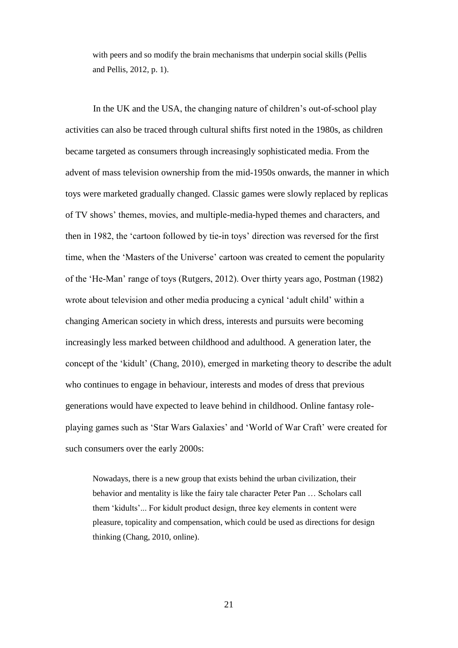with peers and so modify the brain mechanisms that underpin social skills (Pellis and Pellis, 2012, p. 1).

In the UK and the USA, the changing nature of children's out-of-school play activities can also be traced through cultural shifts first noted in the 1980s, as children became targeted as consumers through increasingly sophisticated media. From the advent of mass television ownership from the mid-1950s onwards, the manner in which toys were marketed gradually changed. Classic games were slowly replaced by replicas of TV shows' themes, movies, and multiple-media-hyped themes and characters, and then in 1982, the 'cartoon followed by tie-in toys' direction was reversed for the first time, when the 'Masters of the Universe' cartoon was created to cement the popularity of the 'He-Man' range of toys (Rutgers, 2012). Over thirty years ago, Postman (1982) wrote about television and other media producing a cynical 'adult child' within a changing American society in which dress, interests and pursuits were becoming increasingly less marked between childhood and adulthood. A generation later, the concept of the 'kidult' (Chang, 2010), emerged in marketing theory to describe the adult who continues to engage in behaviour, interests and modes of dress that previous generations would have expected to leave behind in childhood. Online fantasy roleplaying games such as 'Star Wars Galaxies' and 'World of War Craft' were created for such consumers over the early 2000s:

Nowadays, there is a new group that exists behind the urban civilization, their behavior and mentality is like the fairy tale character Peter Pan … Scholars call them 'kidults'... For kidult product design, three key elements in content were pleasure, topicality and compensation, which could be used as directions for design thinking (Chang, 2010, online).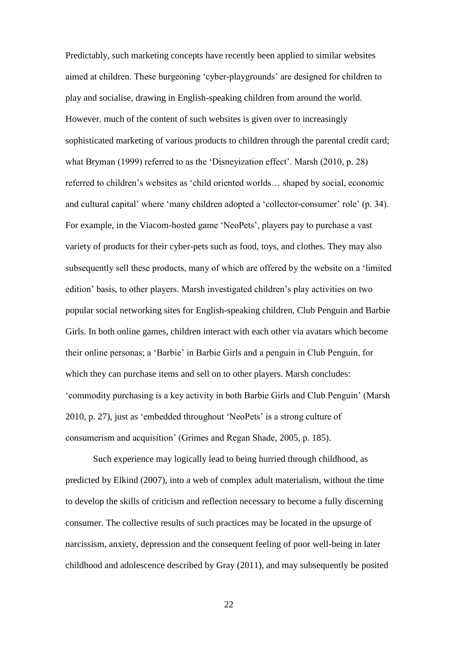Predictably, such marketing concepts have recently been applied to similar websites aimed at children. These burgeoning 'cyber-playgrounds' are designed for children to play and socialise, drawing in English-speaking children from around the world. However, much of the content of such websites is given over to increasingly sophisticated marketing of various products to children through the parental credit card; what Bryman (1999) referred to as the 'Disneyization effect'. Marsh (2010, p. 28) referred to children's websites as 'child oriented worlds… shaped by social, economic and cultural capital' where 'many children adopted a 'collector-consumer' role' (p. 34). For example, in the Viacom-hosted game 'NeoPets', players pay to purchase a vast variety of products for their cyber-pets such as food, toys, and clothes. They may also subsequently sell these products, many of which are offered by the website on a 'limited edition' basis, to other players. Marsh investigated children's play activities on two popular social networking sites for English-speaking children, Club Penguin and Barbie Girls. In both online games, children interact with each other via avatars which become their online personas; a 'Barbie' in Barbie Girls and a penguin in Club Penguin, for which they can purchase items and sell on to other players. Marsh concludes: 'commodity purchasing is a key activity in both Barbie Girls and Club Penguin' (Marsh 2010, p. 27), just as 'embedded throughout 'NeoPets' is a strong culture of consumerism and acquisition' (Grimes and Regan Shade, 2005, p. 185).

Such experience may logically lead to being hurried through childhood, as predicted by Elkind (2007), into a web of complex adult materialism, without the time to develop the skills of criticism and reflection necessary to become a fully discerning consumer. The collective results of such practices may be located in the upsurge of narcissism, anxiety, depression and the consequent feeling of poor well-being in later childhood and adolescence described by Gray (2011), and may subsequently be posited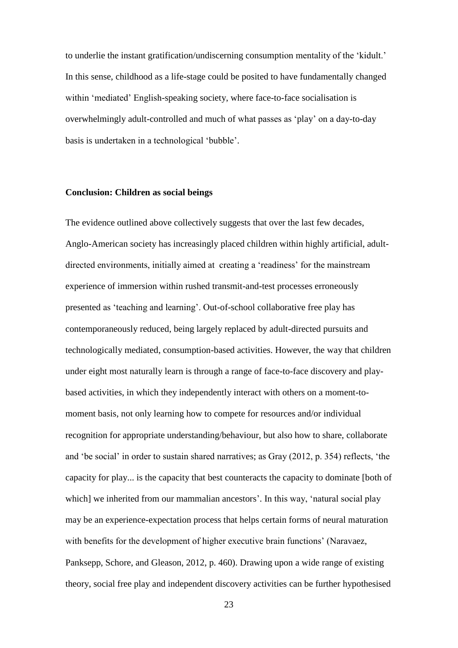to underlie the instant gratification/undiscerning consumption mentality of the 'kidult.' In this sense, childhood as a life-stage could be posited to have fundamentally changed within 'mediated' English-speaking society, where face-to-face socialisation is overwhelmingly adult-controlled and much of what passes as 'play' on a day-to-day basis is undertaken in a technological 'bubble'.

### **Conclusion: Children as social beings**

The evidence outlined above collectively suggests that over the last few decades, Anglo-American society has increasingly placed children within highly artificial, adultdirected environments, initially aimed at creating a 'readiness' for the mainstream experience of immersion within rushed transmit-and-test processes erroneously presented as 'teaching and learning'. Out-of-school collaborative free play has contemporaneously reduced, being largely replaced by adult-directed pursuits and technologically mediated, consumption-based activities. However, the way that children under eight most naturally learn is through a range of face-to-face discovery and playbased activities, in which they independently interact with others on a moment-tomoment basis, not only learning how to compete for resources and/or individual recognition for appropriate understanding/behaviour, but also how to share, collaborate and 'be social' in order to sustain shared narratives; as Gray (2012, p. 354) reflects, 'the capacity for play... is the capacity that best counteracts the capacity to dominate [both of which] we inherited from our mammalian ancestors'. In this way, 'natural social play may be an experience-expectation process that helps certain forms of neural maturation with benefits for the development of higher executive brain functions' (Naravaez, Panksepp, Schore, and Gleason, 2012, p. 460). Drawing upon a wide range of existing theory, social free play and independent discovery activities can be further hypothesised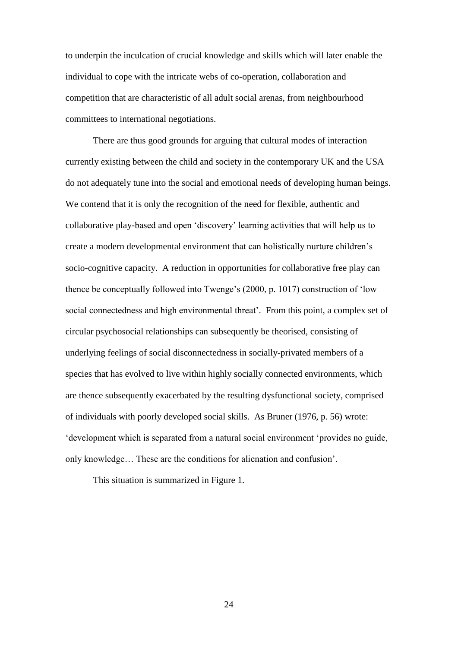to underpin the inculcation of crucial knowledge and skills which will later enable the individual to cope with the intricate webs of co-operation, collaboration and competition that are characteristic of all adult social arenas, from neighbourhood committees to international negotiations.

There are thus good grounds for arguing that cultural modes of interaction currently existing between the child and society in the contemporary UK and the USA do not adequately tune into the social and emotional needs of developing human beings. We contend that it is only the recognition of the need for flexible, authentic and collaborative play-based and open 'discovery' learning activities that will help us to create a modern developmental environment that can holistically nurture children's socio-cognitive capacity. A reduction in opportunities for collaborative free play can thence be conceptually followed into Twenge's (2000, p. 1017) construction of 'low social connectedness and high environmental threat'. From this point, a complex set of circular psychosocial relationships can subsequently be theorised, consisting of underlying feelings of social disconnectedness in socially-privated members of a species that has evolved to live within highly socially connected environments, which are thence subsequently exacerbated by the resulting dysfunctional society, comprised of individuals with poorly developed social skills. As Bruner (1976, p. 56) wrote: 'development which is separated from a natural social environment 'provides no guide, only knowledge… These are the conditions for alienation and confusion'.

This situation is summarized in Figure 1.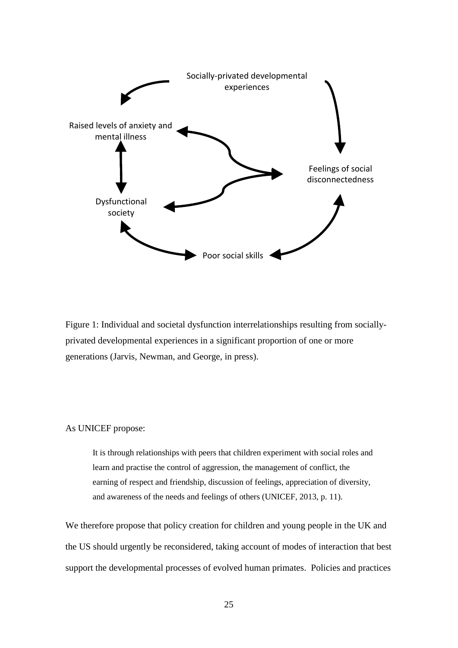

Figure 1: Individual and societal dysfunction interrelationships resulting from sociallyprivated developmental experiences in a significant proportion of one or more generations (Jarvis, Newman, and George, in press).

## As UNICEF propose:

It is through relationships with peers that children experiment with social roles and learn and practise the control of aggression, the management of conflict, the earning of respect and friendship, discussion of feelings, appreciation of diversity, and awareness of the needs and feelings of others (UNICEF, 2013, p. 11).

We therefore propose that policy creation for children and young people in the UK and the US should urgently be reconsidered, taking account of modes of interaction that best support the developmental processes of evolved human primates. Policies and practices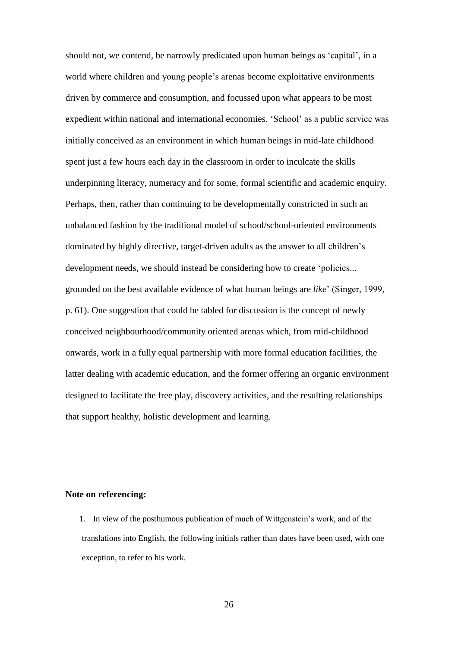should not, we contend, be narrowly predicated upon human beings as 'capital', in a world where children and young people's arenas become exploitative environments driven by commerce and consumption, and focussed upon what appears to be most expedient within national and international economies. 'School' as a public service was initially conceived as an environment in which human beings in mid-late childhood spent just a few hours each day in the classroom in order to inculcate the skills underpinning literacy, numeracy and for some, formal scientific and academic enquiry. Perhaps, then, rather than continuing to be developmentally constricted in such an unbalanced fashion by the traditional model of school/school-oriented environments dominated by highly directive, target-driven adults as the answer to all children's development needs, we should instead be considering how to create 'policies... grounded on the best available evidence of what human beings are *like*' (Singer, 1999, p. 61). One suggestion that could be tabled for discussion is the concept of newly conceived neighbourhood/community oriented arenas which, from mid-childhood onwards, work in a fully equal partnership with more formal education facilities, the latter dealing with academic education, and the former offering an organic environment designed to facilitate the free play, discovery activities, and the resulting relationships that support healthy, holistic development and learning.

#### **Note on referencing:**

1. In view of the posthumous publication of much of Wittgenstein's work, and of the translations into English, the following initials rather than dates have been used, with one exception, to refer to his work.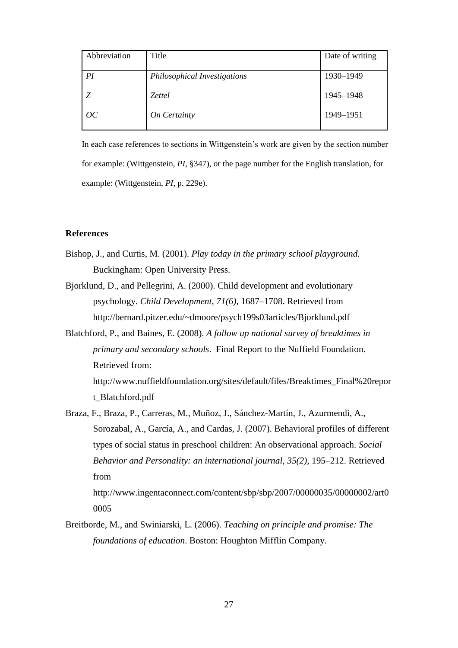| Abbreviation | Title                        | Date of writing |
|--------------|------------------------------|-----------------|
| PI           | Philosophical Investigations | 1930-1949       |
| Z            | <i>Zettel</i>                | 1945-1948       |
| OC           | On Certainty                 | 1949–1951       |

In each case references to sections in Wittgenstein's work are given by the section number for example: (Wittgenstein, *PI*, §347), or the page number for the English translation, for example: (Wittgenstein, *PI*, p. 229e).

# **References**

- Bishop, J., and Curtis, M. (2001). *Play today in the primary school playground.*  Buckingham: Open University Press.
- Bjorklund, D., and Pellegrini, A. (2000). Child development and evolutionary psychology. *Child Development, 71(6)*, 1687–1708. Retrieved from http://bernard.pitzer.edu/~dmoore/psych199s03articles/Bjorklund.pdf
- Blatchford, P., and Baines, E. (2008). *A follow up national survey of breaktimes in primary and secondary schools*. Final Report to the Nuffield Foundation. Retrieved from:

http://www.nuffieldfoundation.org/sites/default/files/Breaktimes\_Final%20repor t\_Blatchford.pdf

Braza, F., Braza, P., Carreras, M., Muñoz, J., Sánchez-Martín, J., Azurmendi, A., Sorozabal, A., García, A., and Cardas, J. (2007). Behavioral profiles of different types of social status in preschool children: An observational approach. *Social Behavior and Personality: an international journal, 35(2),* 195–212. Retrieved from http://www.ingentaconnect.com/content/sbp/sbp/2007/00000035/00000002/art0

0005

Breitborde, M., and Swiniarski, L. (2006). *Teaching on principle and promise: The foundations of education*. Boston: Houghton Mifflin Company.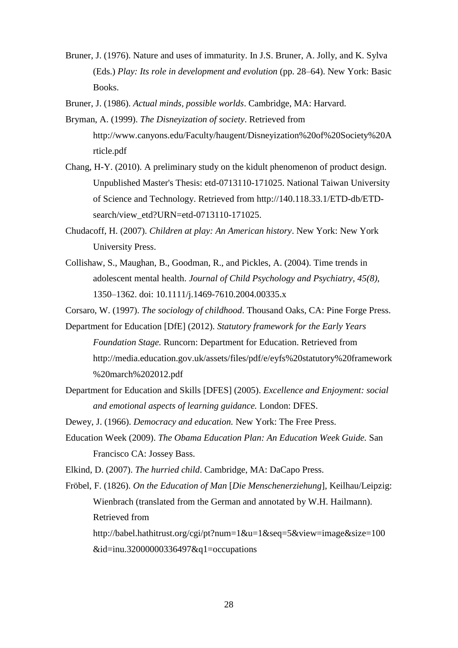Bruner, J. (1976). Nature and uses of immaturity. In J.S. Bruner, A. Jolly, and K. Sylva (Eds.) *Play: Its role in development and evolution* (pp. 28–64). New York: Basic Books.

Bruner, J. (1986). *Actual minds, possible worlds*. Cambridge, MA: Harvard.

- Bryman, A. (1999). *The Disneyization of society*. Retrieved from http://www.canyons.edu/Faculty/haugent/Disneyization%20of%20Society%20A rticle.pdf
- Chang, H-Y. (2010). A preliminary study on the kidult phenomenon of product design. Unpublished Master's Thesis: etd-0713110-171025. National Taiwan University of Science and Technology. Retrieved from [http://140.118.33.1/ETD-db/ETD](http://140.118.33.1/ETD-db/ETD-search/view_etd?URN=etd-0713110-171025)[search/view\\_etd?URN=etd-0713110-171025.](http://140.118.33.1/ETD-db/ETD-search/view_etd?URN=etd-0713110-171025)
- Chudacoff, H. (2007). *Children at play: An American history*. New York: New York University Press.
- Collishaw, S., Maughan, B., Goodman, R., and Pickles, A. (2004). Time trends in adolescent mental health. *Journal of Child Psychology and Psychiatry, 45(8),* 1350–1362. doi: 10.1111/j.1469-7610.2004.00335.x

Corsaro, W. (1997). *The sociology of childhood*. Thousand Oaks, CA: Pine Forge Press.

- Department for Education [DfE] (2012). *Statutory framework for the Early Years Foundation Stage.* Runcorn: Department for Education. Retrieved from http://media.education.gov.uk/assets/files/pdf/e/eyfs%20statutory%20framework %20march%202012.pdf
- Department for Education and Skills [DFES] (2005). *Excellence and Enjoyment: social and emotional aspects of learning guidance.* London: DFES.

Dewey, J. (1966). *Democracy and education.* New York: The Free Press.

Education Week (2009). *The Obama Education Plan: An Education Week Guide.* San Francisco CA: Jossey Bass.

Elkind, D. (2007). *The hurried child*. Cambridge, MA: DaCapo Press.

Fröbel, F. (1826). *On the Education of Man* [*Die Menschenerziehung*], Keilhau/Leipzig: Wienbrach (translated from the German and annotated by W.H. Hailmann). Retrieved from [http://babel.hathitrust.org/cgi/pt?num=1&u=1&seq=5&view=image&size=100](http://babel.hathitrust.org/cgi/pt?num=1&u=1&seq=5&view=image&size=100&id=inu.32000000336497&q1=occupations) [&id=inu.32000000336497&q1=occupations](http://babel.hathitrust.org/cgi/pt?num=1&u=1&seq=5&view=image&size=100&id=inu.32000000336497&q1=occupations)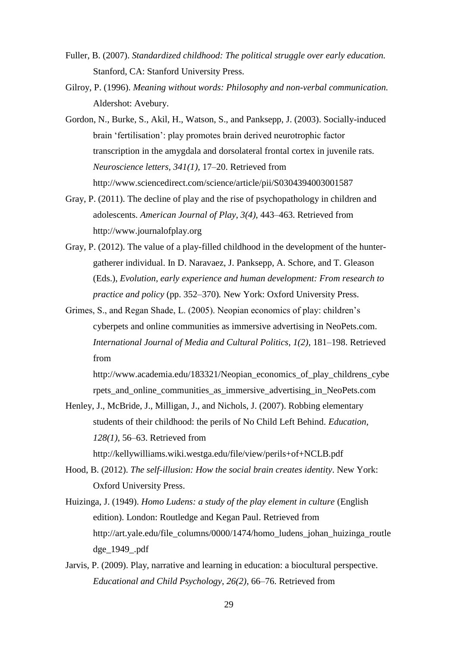- Fuller, B. (2007). *Standardized childhood: The political struggle over early education.* Stanford, CA: Stanford University Press.
- Gilroy, P. (1996). *Meaning without words: Philosophy and non-verbal communication.*  Aldershot: Avebury.
- Gordon, N., Burke, S., Akil, H., Watson, S., and Panksepp, J. (2003). Socially-induced brain 'fertilisation': play promotes brain derived neurotrophic factor transcription in the amygdala and dorsolateral frontal cortex in juvenile rats. *Neuroscience letters, 341(1),* 17–20. Retrieved from http://www.sciencedirect.com/science/article/pii/S0304394003001587
- Gray, P. (2011). The decline of play and the rise of psychopathology in children and adolescents. *American Journal of Play*, *3(4),* 443–463. Retrieved from http://www.journalofplay.org
- Gray, P. (2012). The value of a play-filled childhood in the development of the huntergatherer individual. In D. Naravaez, J. Panksepp, A. Schore, and T. Gleason (Eds.), *Evolution, early experience and human development: From research to practice and policy* (pp. 352–370)*.* New York: Oxford University Press.
- Grimes, S., and Regan Shade, L. (2005). Neopian economics of play: children's cyberpets and online communities as immersive advertising in NeoPets.com. *International Journal of Media and Cultural Politics*, *1(2),* 181–198. Retrieved from

http://www.academia.edu/183321/Neopian\_economics\_of\_play\_childrens\_cybe rpets\_and\_online\_communities\_as\_immersive\_advertising\_in\_NeoPets.com

Henley, J., McBride, J., Milligan, J., and Nichols, J. (2007). Robbing elementary students of their childhood: the perils of No Child Left Behind. *Education, 128(1)*, 56–63. Retrieved from

http://kellywilliams.wiki.westga.edu/file/view/perils+of+NCLB.pdf

- Hood, B. (2012). *The self-illusion: How the social brain creates identity*. New York: Oxford University Press.
- Huizinga, J. (1949). *Homo Ludens: a study of the play element in culture* (English edition). London: Routledge and Kegan Paul. Retrieved from http://art.yale.edu/file\_columns/0000/1474/homo\_ludens\_johan\_huizinga\_routle dge\_1949\_.pdf
- Jarvis, P. (2009). Play, narrative and learning in education: a biocultural perspective. *Educational and Child Psychology*, *26(2)*, 66–76. Retrieved from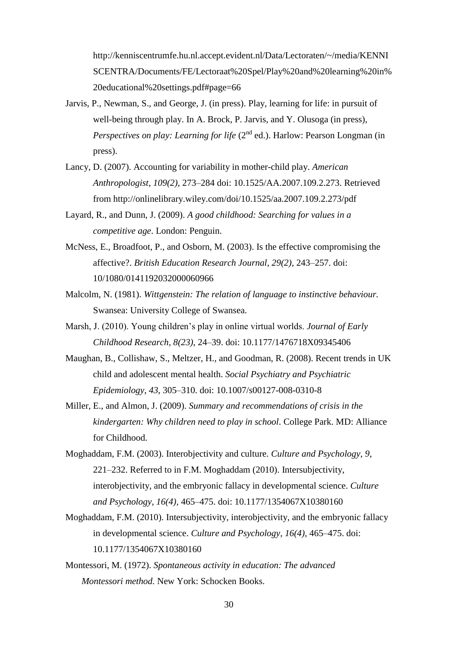http://kenniscentrumfe.hu.nl.accept.evident.nl/Data/Lectoraten/~/media/KENNI SCENTRA/Documents/FE/Lectoraat%20Spel/Play%20and%20learning%20in% 20educational%20settings.pdf#page=66

- Jarvis, P., Newman, S., and George, J. (in press). Play, learning for life: in pursuit of well-being through play. In A. Brock, P. Jarvis, and Y. Olusoga (in press), *Perspectives on play: Learning for life* (2<sup>nd</sup> ed.). Harlow: Pearson Longman (in press).
- Lancy, D. (2007). Accounting for variability in mother-child play. *American Anthropologist*, *109(2),* 273–284 doi: 10.1525/AA.2007.109.2.273. Retrieved from http://onlinelibrary.wiley.com/doi/10.1525/aa.2007.109.2.273/pdf
- Layard, R., and Dunn, J. (2009). *A good childhood: Searching for values in a competitive age*. London: Penguin.
- McNess, E., Broadfoot, P., and Osborn, M. (2003). Is the effective compromising the affective?. *British Education Research Journal*, *29(2),* 243–257. doi: 10/1080/0141192032000060966
- Malcolm, N. (1981). *Wittgenstein: The relation of language to instinctive behaviour.* Swansea: University College of Swansea.
- Marsh, J. (2010). Young children's play in online virtual worlds. *Journal of Early Childhood Research, 8(23)*, 24–39. doi: 10.1177/1476718X09345406
- Maughan, B., Collishaw, S., Meltzer, H., and Goodman, R. (2008). Recent trends in UK child and adolescent mental health. *Social Psychiatry and Psychiatric Epidemiology*, *43*, 305–310. doi: 10.1007/s00127-008-0310-8
- Miller, E., and Almon, J. (2009). *Summary and recommendations of crisis in the kindergarten: Why children need to play in school*. College Park. MD: Alliance for Childhood.
- Moghaddam, F.M. (2003). Interobjectivity and culture. *Culture and Psychology*, *9*, 221–232. Referred to in F.M. Moghaddam (2010). Intersubjectivity, interobjectivity, and the embryonic fallacy in developmental science. *Culture and Psychology, 16(4),* 465–475. doi: 10.1177/1354067X10380160
- Moghaddam, F.M. (2010). Intersubjectivity, interobjectivity, and the embryonic fallacy in developmental science. *Culture and Psychology*, *16(4),* 465–475. doi: 10.1177/1354067X10380160
- Montessori, M. (1972). *Spontaneous activity in education: The advanced Montessori method.* New York: Schocken Books.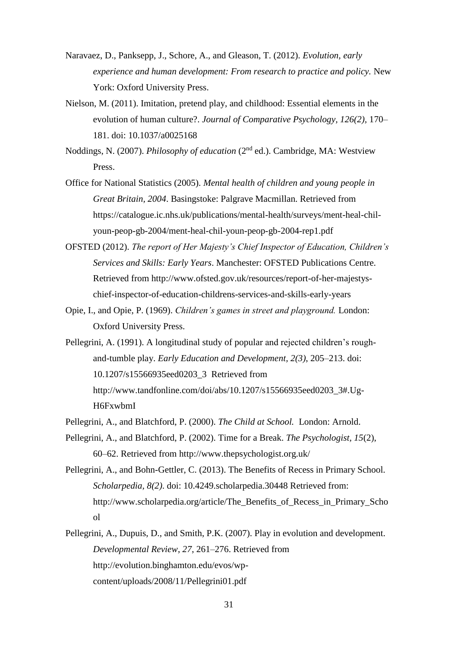- Naravaez, D., Panksepp, J., Schore, A., and Gleason, T. (2012). *Evolution, early experience and human development: From research to practice and policy.* New York: Oxford University Press.
- Nielson, M. (2011). Imitation, pretend play, and childhood: Essential elements in the evolution of human culture?. *Journal of Comparative Psychology, 126(2),* 170– 181. doi: [10.1037/a0025168](http://psycnet.apa.org/doi/10.1037/a0025168)
- Noddings, N. (2007). *Philosophy of education* (2nd ed.). Cambridge, MA: Westview Press.
- Office for National Statistics (2005). *Mental health of children and young people in Great Britain, 2004*. Basingstoke: Palgrave Macmillan. Retrieved from https://catalogue.ic.nhs.uk/publications/mental-health/surveys/ment-heal-chilyoun-peop-gb-2004/ment-heal-chil-youn-peop-gb-2004-rep1.pdf
- OFSTED (2012). *The report of Her Majesty's Chief Inspector of Education, Children's Services and Skills: Early Years*. Manchester: OFSTED Publications Centre. Retrieved from http://www.ofsted.gov.uk/resources/report-of-her-majestyschief-inspector-of-education-childrens-services-and-skills-early-years
- Opie, I., and Opie, P. (1969). *Children's games in street and playground.* London: Oxford University Press.
- Pellegrini, A. (1991). A longitudinal study of popular and rejected children's roughand-tumble play. *Early Education and Development, 2(3)*, 205–213. doi: 10.1207/s15566935eed0203\_3 Retrieved from http://www.tandfonline.com/doi/abs/10.1207/s15566935eed0203\_3#.Ug-H6FxwbmI
- Pellegrini, A., and Blatchford, P. (2000). *The Child at School.* London: Arnold.
- Pellegrini, A., and Blatchford, P. (2002). Time for a Break. *The Psychologist, 15*(2), 60–62. Retrieved from http://www.thepsychologist.org.uk/
- Pellegrini, A., and Bohn-Gettler, C. (2013). The Benefits of Recess in Primary School. *Scholarpedia, 8(2)*. doi: 10.4249.scholarpedia.30448 Retrieved from: http://www.scholarpedia.org/article/The\_Benefits\_of\_Recess\_in\_Primary\_Scho ol
- Pellegrini, A., Dupuis, D., and Smith, P.K. (2007). Play in evolution and development. *Developmental Review*, *27*, 261–276. Retrieved from http://evolution.binghamton.edu/evos/wpcontent/uploads/2008/11/Pellegrini01.pdf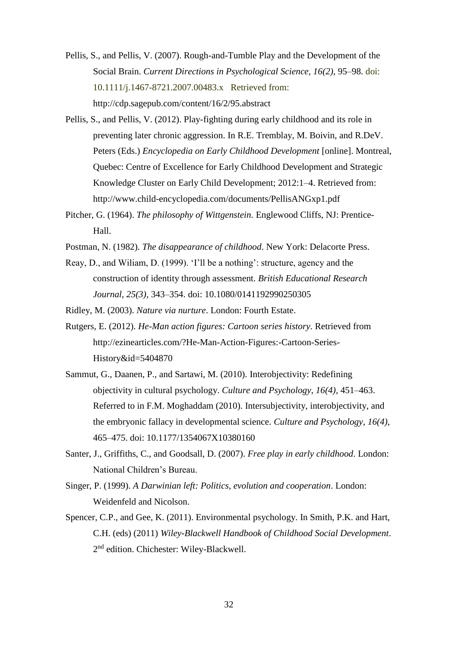- Pellis, S., and Pellis, V. (2007). Rough-and-Tumble Play and the Development of the Social Brain. *Current Directions in Psychological Science, 16(2)*, 95–98. doi: 10.1111/j.1467-8721.2007.00483.x Retrieved from: http://cdp.sagepub.com/content/16/2/95.abstract
- Pellis, S., and Pellis, V. (2012). Play-fighting during early childhood and its role in preventing later chronic aggression. In R.E. Tremblay, M. Boivin, and R.DeV. Peters (Eds.) *Encyclopedia on Early Childhood Development* [online]. Montreal, Quebec: Centre of Excellence for Early Childhood Development and Strategic Knowledge Cluster on Early Child Development; 2012:1–4. Retrieved from: http://www.child-encyclopedia.com/documents/PellisANGxp1.pdf
- Pitcher, G. (1964). *The philosophy of Wittgenstein.* Englewood Cliffs, NJ: Prentice-Hall.
- Postman, N. (1982). *The disappearance of childhood*. New York: Delacorte Press.
- Reay, D., and Wiliam, D. (1999). 'I'll be a nothing': structure, agency and the construction of identity through assessment. *British Educational Research Journal*, *25(3),* 343–354. doi: 10.1080/0141192990250305

Ridley, M. (2003). *Nature via nurture*. London: Fourth Estate.

- Rutgers, E. (2012). *He-Man action figures: Cartoon series history*. Retrieved from http://ezinearticles.com/?He-Man-Action-Figures:-Cartoon-Series-History&id=5404870
- Sammut, G., Daanen, P., and Sartawi, M. (2010). Interobjectivity: Redefining objectivity in cultural psychology. *Culture and Psychology*, *16(4),* 451–463. Referred to in F.M. Moghaddam (2010). Intersubjectivity, interobjectivity, and the embryonic fallacy in developmental science. *Culture and Psychology*, *16(4)*, 465–475. doi: 10.1177/1354067X10380160
- Santer, J., Griffiths, C., and Goodsall, D. (2007). *Free play in early childhood*. London: National Children's Bureau.
- Singer, P. (1999). *A Darwinian left: Politics, evolution and cooperation*. London: Weidenfeld and Nicolson.
- Spencer, C.P., and Gee, K. (2011). Environmental psychology. In Smith, P.K. and Hart, C.H. (eds) (2011) *Wiley-Blackwell Handbook of Childhood Social Development*. 2<sup>nd</sup> edition. Chichester: Wiley-Blackwell.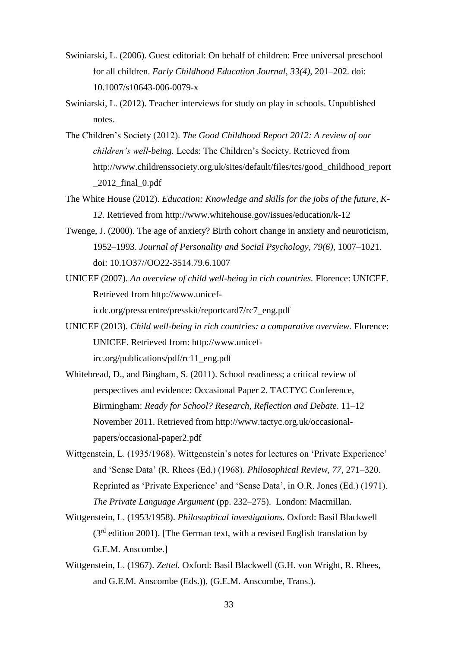- Swiniarski, L. (2006). Guest editorial: On behalf of children: Free universal preschool for all children. *Early Childhood Education Journal*, *33(4)*, 201–202. doi: 10.1007/s10643-006-0079-x
- Swiniarski, L. (2012). Teacher interviews for study on play in schools. Unpublished notes.
- The Children's Society (2012). *The Good Childhood Report 2012: A review of our children's well-being.* Leeds: The Children's Society. Retrieved from http://www.childrenssociety.org.uk/sites/default/files/tcs/good\_childhood\_report  $\_2012$ \_final $\_0$ .pdf
- The White House (2012). *Education: Knowledge and skills for the jobs of the future, K-12.* Retrieved from http://www.whitehouse.gov/issues/education/k-12
- Twenge, J. (2000). The age of anxiety? Birth cohort change in anxiety and neuroticism, 1952–1993. *Journal of Personality and Social Psychology, 79(6)*, 1007–1021. doi: 10.1O37//OO22-3514.79.6.1007
- UNICEF (2007). *An overview of child well-being in rich countries.* Florence: UNICEF. Retrieved from http://www.unicef-

icdc.org/presscentre/presskit/reportcard7/rc7\_eng.pdf

- UNICEF (2013). *Child well-being in rich countries: a comparative overview.* Florence: UNICEF. Retrieved from: http://www.unicefirc.org/publications/pdf/rc11\_eng.pdf
- Whitebread, D., and Bingham, S. (2011). School readiness; a critical review of perspectives and evidence: Occasional Paper 2. TACTYC Conference, Birmingham: *Ready for School? Research, Reflection and Debate*. 11–12 November 2011. Retrieved from http://www.tactyc.org.uk/occasionalpapers/occasional-paper2.pdf
- Wittgenstein, L. (1935/1968). Wittgenstein's notes for lectures on 'Private Experience' and 'Sense Data' (R. Rhees (Ed.) (1968). *Philosophical Review*, *77*, 271–320. Reprinted as 'Private Experience' and 'Sense Data', in O.R. Jones (Ed.) (1971). *The Private Language Argument* (pp. 232–275). London: Macmillan.
- Wittgenstein, L. (1953/1958). *Philosophical investigations.* Oxford: Basil Blackwell  $(3<sup>rd</sup>$  edition 2001). [The German text, with a revised English translation by G.E.M. Anscombe.]
- Wittgenstein, L. (1967). *Zettel.* Oxford: Basil Blackwell (G.H. von Wright, R. Rhees, and G.E.M. Anscombe (Eds.)), (G.E.M. Anscombe, Trans.).